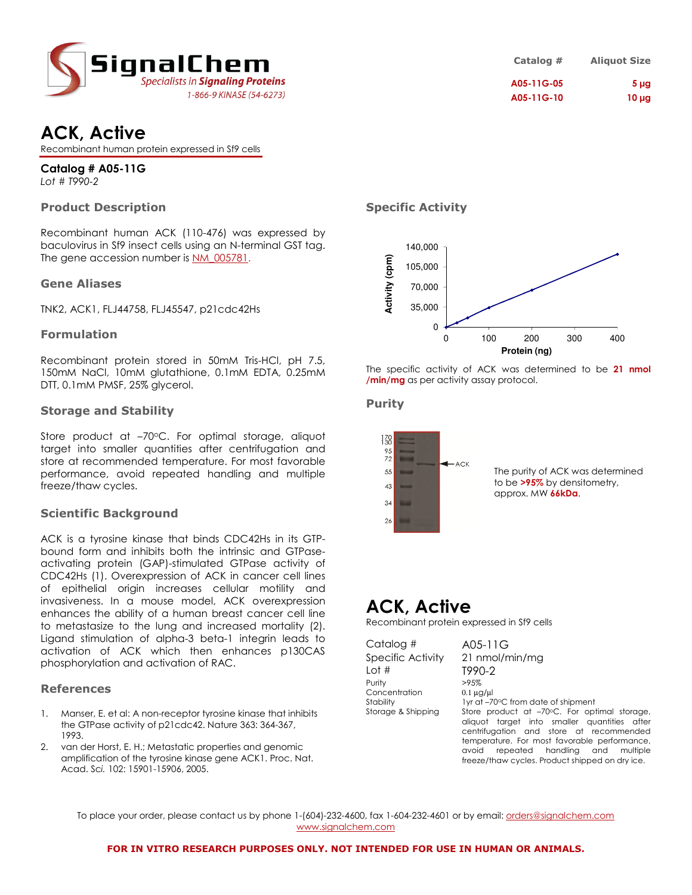

| Catalog #  | <b>Aliquot Size</b> |
|------------|---------------------|
| A05-11G-05 | 5 <sub>µq</sub>     |
| A05-11G-10 | $10 \mu g$          |

## ACK, Active

Recombinant human protein expressed in Sf9 cells

Catalog # A05-11G Lot # T990-2

### Product Description

Recombinant human ACK (110-476) was expressed by baculovirus in Sf9 insect cells using an N-terminal GST tag. The gene accession number is NM\_005781.

### Gene Aliases

TNK2, ACK1, FLJ44758, FLJ45547, p21cdc42Hs

### Formulation

Recombinant protein stored in 50mM Tris-HCl, pH 7.5, 150mM NaCl, 10mM glutathione, 0.1mM EDTA, 0.25mM DTT, 0.1mM PMSF, 25% glycerol.

### Storage and Stability

Store product at -70°C. For optimal storage, aliquot target into smaller quantities after centrifugation and store at recommended temperature. For most favorable performance, avoid repeated handling and multiple freeze/thaw cycles.

### Scientific Background

ACK is a tyrosine kinase that binds CDC42Hs in its GTPbound form and inhibits both the intrinsic and GTPaseactivating protein (GAP)-stimulated GTPase activity of CDC42Hs (1). Overexpression of ACK in cancer cell lines of epithelial origin increases cellular motility and invasiveness. In a mouse model, ACK overexpression enhances the ability of a human breast cancer cell line to metastasize to the lung and increased mortality (2). Ligand stimulation of alpha-3 beta-1 integrin leads to activation of ACK which then enhances p130CAS phosphorylation and activation of RAC.

### References

- 1. Manser, E. et al: A non-receptor tyrosine kinase that inhibits the GTPase activity of p21cdc42. Nature 363: 364-367, 1993.
- 2. van der Horst, E. H.; Metastatic properties and genomic amplification of the tyrosine kinase gene ACK1. Proc. Nat. Acad. Sci. 102: 15901-15906, 2005.

### Specific Activity



The specific activity of ACK was determined to be 21 nmol /min/mg as per activity assay protocol.

### Purity



### ACK, Active

Recombinant protein expressed in Sf9 cells

| Catalog #          | A05-11 $G$                                                                                                                              |
|--------------------|-----------------------------------------------------------------------------------------------------------------------------------------|
| Specific Activity  | 21 nmol/min/mg                                                                                                                          |
| Lot $#$            | T990-2                                                                                                                                  |
| Purity             | >95%                                                                                                                                    |
| Concentration      | $0.1 \mu$ g/ $\mu$                                                                                                                      |
| Stability          | 1yr at -70°C from date of shipment                                                                                                      |
| Storage & Shipping | Store product at -70°C. For optimal storage,<br>aliquot target into smaller quantities after<br>centrifugation and store at recommended |
|                    | temperature. For most favorable performance,                                                                                            |
|                    | repeated handling and<br>avoid<br>multiple                                                                                              |
|                    | freeze/thaw cycles. Product shipped on dry ice.                                                                                         |

To place your order, please contact us by phone 1-(604)-232-4600, fax 1-604-232-4601 or by email: orders@signalchem.com www.signalchem.com